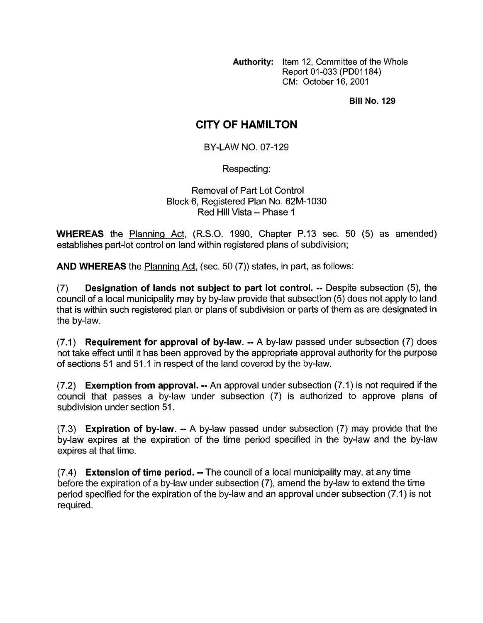**Authority:** Item 12, Committee of the Whole Report 01-033 (PDOI 184) CM: October 16, 2001

**Bill No. 129** 

## **CITY OF HAMILTON**

BY-LAW NO. 07-129

Respecting:

Removal of Part Lot Control Block 6, Registered Plan No. 62M-1030 Red Hill Vista - Phase 1

**WHEREAS** the Planning Act, (R.S.O. 1990, Chapter P.13 sec. 50 (5) as amended) establishes part-lot control on land within registered plans of subdivision;

**AND WHEREAS** the Planninq Act, (sec. 50 (7)) states, in part, as follows:

(7) **Designation of lands not subject to part lot control.** -- Despite subsection (5), the council of a local municipality may by by-law provide that subsection (5) does not apply to land that is within such registered plan or plans of subdivision or parts of them as are designated in the by-law.

(7.1) **Requirement for approval of by-law.** -- A by-law passed under subsection (7) does not take effect until it has been approved by the appropriate approval authority for the purpose of sections 51 and 51.1 in respect of the land covered by the by-law.

(7.2) **Exemption from approval.** -- An approval under subsection (7.1) is not required if the council that passes a by-law under subsection (7) is authorized to approve plans of subdivision under section 51.

(7.3) **Expiration of by-law.** -- A by-law passed under subsection (7) may provide that the by-law expires at the expiration of the time period specified in the by-law and the by-law expires at that time.

(7.4) **Extension of time period.** -- The council of a local municipality may, at any time before the expiration of a by-law under subsection (7), amend the by-law to extend the time period specified for the expiration of the by-law and an approval under subsection (7.1) is not required.